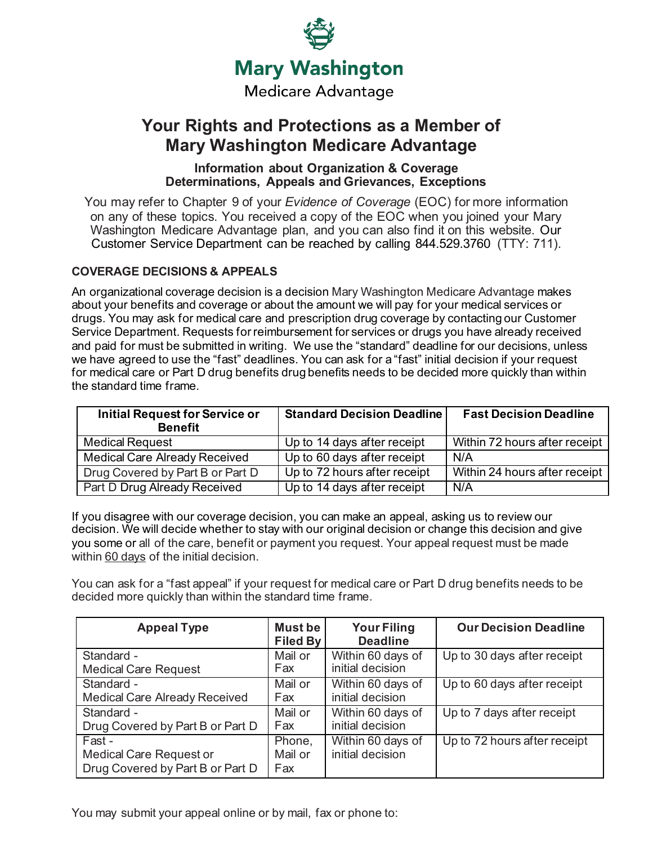

# **Your Rights and Protections as a Member of Mary Washington Medicare Advantage**

# **Information about Organization & Coverage Determinations, Appeals and Grievances, Exceptions**

You may refer to Chapter 9 of your *Evidence of Coverage* (EOC) for more information on any of these topics. You received a copy of the EOC when you joined your Mary Washington Medicare Advantage plan, and you can also find it on this website. Our Customer Service Department can be reached by calling 844.529.3760 (TTY: 711).

# **COVERAGE DECISIONS & APPEALS**

An organizational coverage decision is a decision Mary Washington Medicare Advantage makes about your benefits and coverage or about the amount we will pay for your medical services or drugs. You may ask for medical care and prescription drug coverage by contacting our Customer Service Department. Requests for reimbursement for services or drugs you have already received and paid for must be submitted in writing. We use the "standard" deadline for our decisions, unless we have agreed to use the "fast" deadlines. You can ask for a "fast" initial decision if your request for medical care or Part D drug benefits drug benefits needs to be decided more quickly than within the standard time frame.

| <b>Initial Request for Service or</b><br><b>Benefit</b> | <b>Standard Decision Deadline</b> | <b>Fast Decision Deadline</b> |
|---------------------------------------------------------|-----------------------------------|-------------------------------|
| <b>Medical Request</b>                                  | Up to 14 days after receipt       | Within 72 hours after receipt |
| <b>Medical Care Already Received</b>                    | Up to 60 days after receipt       | N/A                           |
| Drug Covered by Part B or Part D                        | Up to 72 hours after receipt      | Within 24 hours after receipt |
| Part D Drug Already Received                            | Up to 14 days after receipt       | N/A                           |

If you disagree with our coverage decision, you can make an appeal, asking us to review our decision. We will decide whether to stay with our original decision or change this decision and give you some or all of the care, benefit or payment you request. Your appeal request must be made within 60 days of the initial decision.

You can ask for a "fast appeal" if your request for medical care or Part D drug benefits needs to be decided more quickly than within the standard time frame.

| <b>Appeal Type</b>                                                           | Must be<br><b>Filed By</b> | <b>Your Filing</b><br><b>Deadline</b> | <b>Our Decision Deadline</b> |
|------------------------------------------------------------------------------|----------------------------|---------------------------------------|------------------------------|
| Standard -                                                                   | Mail or                    | Within 60 days of                     | Up to 30 days after receipt  |
| <b>Medical Care Request</b>                                                  | Fax                        | initial decision                      |                              |
| Standard -                                                                   | Mail or                    | Within 60 days of                     | Up to 60 days after receipt  |
| Medical Care Already Received                                                | Fax                        | initial decision                      |                              |
| Standard -                                                                   | Mail or                    | Within 60 days of                     | Up to 7 days after receipt   |
| Drug Covered by Part B or Part D                                             | Fax                        | initial decision                      |                              |
| Fast -<br><b>Medical Care Request or</b><br>Drug Covered by Part B or Part D | Phone,<br>Mail or<br>Fax   | Within 60 days of<br>initial decision | Up to 72 hours after receipt |

You may submit your appeal online or by mail, fax or phone to: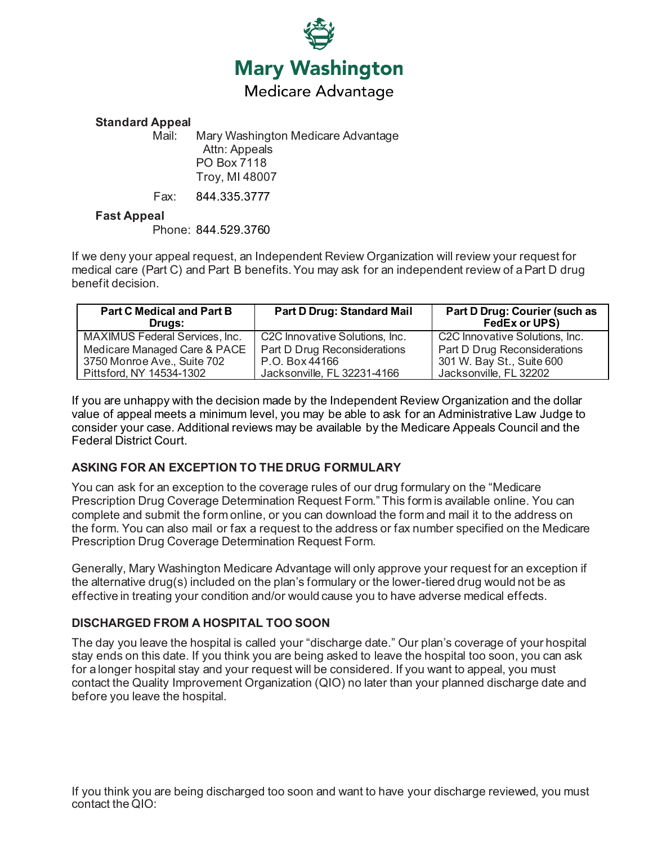

#### **Standard Appeal**

Mail: Mary Washington Medicare Advantage Attn: Appeals PO Box 7118 Troy, MI 48007

Fax: 844.335.3777

#### **Fast Appeal**

Phone: 844.529.3760

If we deny your appeal request, an Independent Review Organization will review your request for medical care (Part C) and Part B benefits.You may ask for an independent review of a Part D drug benefit decision.

| <b>Part C Medical and Part B</b><br>Drugs: | <b>Part D Drug: Standard Mail</b>           | Part D Drug: Courier (such as<br>FedEx or UPS) |
|--------------------------------------------|---------------------------------------------|------------------------------------------------|
| MAXIMUS Federal Services, Inc.             | C <sub>2</sub> C Innovative Solutions, Inc. | C2C Innovative Solutions, Inc.                 |
| Medicare Managed Care & PACE               | Part D Drug Reconsiderations                | Part D Drug Reconsiderations                   |
| 3750 Monroe Ave., Suite 702                | P.O. Box 44166                              | 301 W. Bay St., Suite 600                      |
| Pittsford, NY 14534-1302                   | Jacksonville, FL 32231-4166                 | Jacksonville, FL 32202                         |

If you are unhappy with the decision made by the Independent Review Organization and the dollar value of appeal meets a minimum level, you may be able to ask for an Administrative Law Judge to consider your case. Additional reviews may be available by the Medicare Appeals Council and the Federal District Court.

#### **ASKING FOR AN EXCEPTION TO THE DRUG FORMULARY**

You can ask for an exception to the coverage rules of our drug formulary on the "Medicare Prescription Drug Coverage Determination Request Form." This form is available online. You can complete and submit the form online, or you can download the form and mail it to the address on the form. You can also mail or fax a request to the address or fax number specified on the Medicare Prescription Drug Coverage Determination Request Form.

Generally, Mary Washington Medicare Advantage will only approve your request for an exception if the alternative drug(s) included on the plan's formulary or the lower-tiered drug would not be as effective in treating your condition and/or would cause you to have adverse medical effects.

# **DISCHARGED FROM A HOSPITAL TOO SOON**

The day you leave the hospital is called your "discharge date." Our plan's coverage of your hospital stay ends on this date. If you think you are being asked to leave the hospital too soon, you can ask for a longer hospital stay and your request will be considered. If you want to appeal, you must contact the Quality Improvement Organization (QIO) no later than your planned discharge date and before you leave the hospital.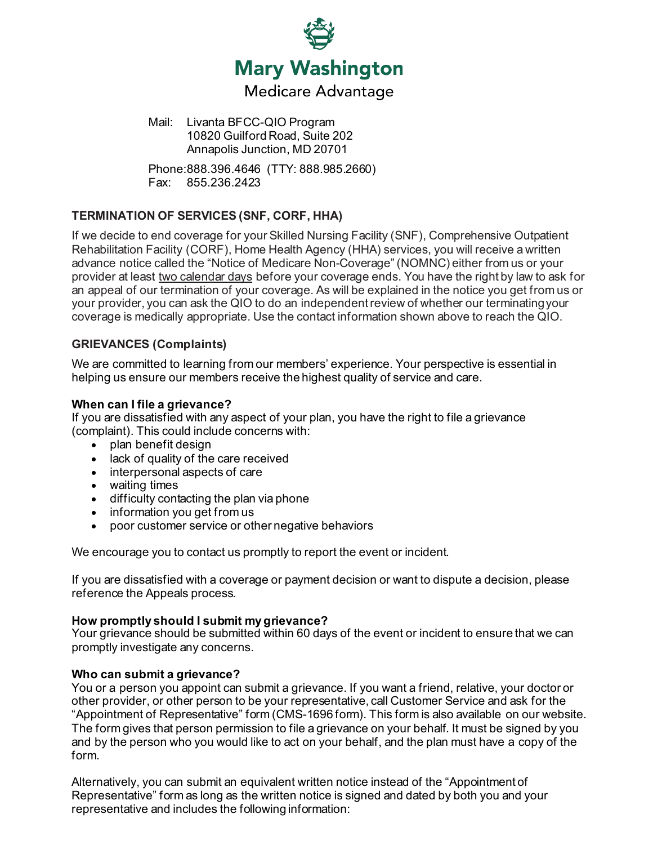

Mail: Livanta BFCC-QIO Program 10820 Guilford Road, Suite 202 Annapolis Junction, MD 20701

Phone:888.396.4646 (TTY: 888.985.2660) Fax: 855.236.2423

# **TERMINATION OF SERVICES (SNF, CORF, HHA)**

If we decide to end coverage for your Skilled Nursing Facility (SNF), Comprehensive Outpatient Rehabilitation Facility (CORF), Home Health Agency (HHA) services, you will receive a written advance notice called the "Notice of Medicare Non-Coverage" (NOMNC) either from us or your provider at least two calendar days before your coverage ends. You have the right by law to ask for an appeal of our termination of your coverage. As will be explained in the notice you get from us or your provider, you can ask the QIO to do an independent review of whether our terminatingyour coverage is medically appropriate. Use the contact information shown above to reach the QIO.

## **GRIEVANCES (Complaints)**

We are committed to learning from our members' experience. Your perspective is essential in helping us ensure our members receive the highest quality of service and care.

#### **When can I file a grievance?**

If you are dissatisfied with any aspect of your plan, you have the right to file a grievance (complaint). This could include concerns with:

- plan benefit design
- lack of quality of the care received
- interpersonal aspects of care
- waiting times
- difficulty contacting the plan via phone
- information you get from us
- poor customer service or other negative behaviors

We encourage you to contact us promptly to report the event or incident.

If you are dissatisfied with a coverage or payment decision or want to dispute a decision, please reference the Appeals process.

#### **How promptly should I submit my grievance?**

Your grievance should be submitted within 60 days of the event or incident to ensure that we can promptly investigate any concerns.

#### **Who can submit a grievance?**

You or a person you appoint can submit a grievance. If you want a friend, relative, your doctor or other provider, or other person to be your representative, call Customer Service and ask for the "Appointment of Representative" form (CMS-1696 form). This form is also available on our website. The form gives that person permission to file a grievance on your behalf. It must be signed by you and by the person who you would like to act on your behalf, and the plan must have a copy of the form.

Alternatively, you can submit an equivalent written notice instead of the "Appointment of Representative" form as long as the written notice is signed and dated by both you and your representative and includes the following information: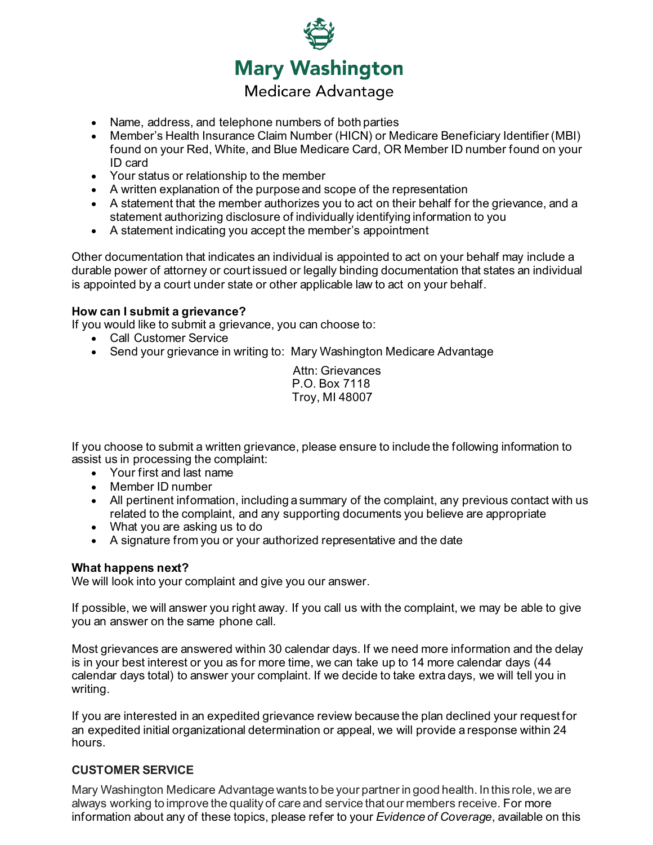

- Name, address, and telephone numbers of both parties
- Member's Health Insurance Claim Number (HICN) or Medicare Beneficiary Identifier (MBI) found on your Red, White, and Blue Medicare Card, OR Member ID number found on your ID card
- Your status or relationship to the member
- A written explanation of the purpose and scope of the representation
- A statement that the member authorizes you to act on their behalf for the grievance, and a statement authorizing disclosure of individually identifying information to you
- A statement indicating you accept the member's appointment

Other documentation that indicates an individual is appointed to act on your behalf may include a durable power of attorney or court issued or legally binding documentation that states an individual is appointed by a court under state or other applicable law to act on your behalf.

## **How can I submit a grievance?**

If you would like to submit a grievance, you can choose to:

- Call Customer Service
- Send your grievance in writing to: Mary Washington Medicare Advantage

Attn: Grievances P.O. Box 7118 Troy, MI 48007

If you choose to submit a written grievance, please ensure to include the following information to assist us in processing the complaint:

- Your first and last name
- Member ID number
- All pertinent information, including a summary of the complaint, any previous contact with us related to the complaint, and any supporting documents you believe are appropriate
- What you are asking us to do
- A signature from you or your authorized representative and the date

#### **What happens next?**

We will look into your complaint and give you our answer.

If possible, we will answer you right away. If you call us with the complaint, we may be able to give you an answer on the same phone call.

Most grievances are answered within 30 calendar days. If we need more information and the delay is in your best interest or you as for more time, we can take up to 14 more calendar days (44 calendar days total) to answer your complaint. If we decide to take extra days, we will tell you in writing.

If you are interested in an expedited grievance review because the plan declined your request for an expedited initial organizational determination or appeal, we will provide a response within 24 hours.

# **CUSTOMER SERVICE**

Mary Washington Medicare Advantage wants to be your partner in good health. In this role, we are always working to improve the quality of care and service that our members receive. For more information about any of these topics, please refer to your *Evidence of Coverage*, available on this